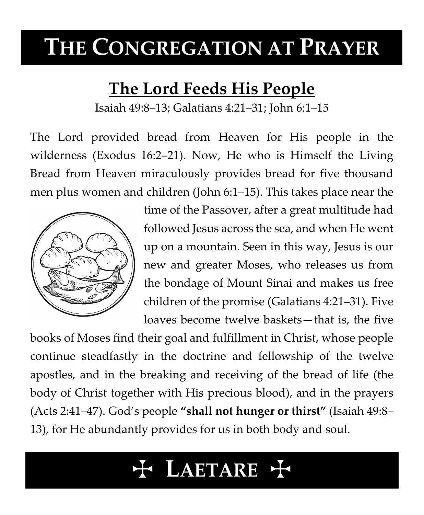# **THE CONGREGATION AT PRAYER**

# **The Lord Feeds His People**

Isaiah 49:8–13; Galatians 4:21–31; John 6:1–15

The Lord provided bread from Heaven for His people in the wilderness (Exodus 16:2–21). Now, He who is Himself the Living Bread from Heaven miraculously provides bread for five thousand men plus women and children (John 6:1–15). This takes place near the



time of the Passover, after a great multitude had followed Jesus across the sea, and when He went up on a mountain. Seen in this way, Jesus is our new and greater Moses, who releases us from the bondage of Mount Sinai and makes us free children of the promise (Galatians 4:21–31). Five loaves become twelve baskets—that is, the five

books of Moses find their goal and fulfillment in Christ, whose people continue steadfastly in the doctrine and fellowship of the twelve apostles, and in the breaking and receiving of the bread of life (the body of Christ together with His precious blood), and in the prayers (Acts 2:41–47). God's people **"shall not hunger or thirst"** (Isaiah 49:8– 13), for He abundantly provides for us in both body and soul.

# T **LAETARE** T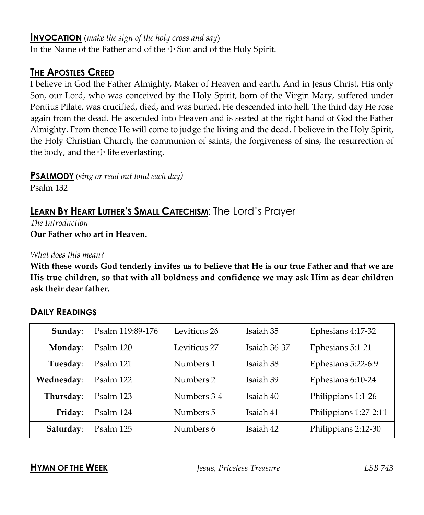#### **INVOCATION** (*make the sign of the holy cross and say*)

In the Name of the Father and of the  $\pm$  Son and of the Holy Spirit.

### **THE APOSTLES CREED**

I believe in God the Father Almighty, Maker of Heaven and earth. And in Jesus Christ, His only Son, our Lord, who was conceived by the Holy Spirit, born of the Virgin Mary, suffered under Pontius Pilate, was crucified, died, and was buried. He descended into hell. The third day He rose again from the dead. He ascended into Heaven and is seated at the right hand of God the Father Almighty. From thence He will come to judge the living and the dead. I believe in the Holy Spirit, the Holy Christian Church, the communion of saints, the forgiveness of sins, the resurrection of the body, and the  $\pm$  life everlasting.

**PSALMODY** *(sing or read out loud each day)*

Psalm 132

# **LEARN BY HEART LUTHER'S SMALL CATECHISM**: The Lord's Prayer

*The Introduction* **Our Father who art in Heaven.**

*What does this mean?*

**With these words God tenderly invites us to believe that He is our true Father and that we are His true children, so that with all boldness and confidence we may ask Him as dear children ask their dear father.**

| Sunday:    | Psalm 119:89-176 | Leviticus 26 | Isaiah 35    | Ephesians 4:17-32     |
|------------|------------------|--------------|--------------|-----------------------|
| Monday:    | Psalm 120        | Leviticus 27 | Isaiah 36-37 | Ephesians 5:1-21      |
| Tuesday:   | Psalm 121        | Numbers 1    | Isaiah 38    | Ephesians 5:22-6:9    |
| Wednesday: | Psalm 122        | Numbers 2    | Isaiah 39    | Ephesians 6:10-24     |
| Thursday:  | Psalm 123        | Numbers 3-4  | Isaiah 40    | Philippians 1:1-26    |
| Friday:    | Psalm 124        | Numbers 5    | Isaiah 41    | Philippians 1:27-2:11 |
| Saturday:  | Psalm 125        | Numbers 6    | Isaiah 42    | Philippians 2:12-30   |

## **DAILY READINGS**

**HYMN OF THE WEEK** *Jesus, Priceless Treasure LSB 743*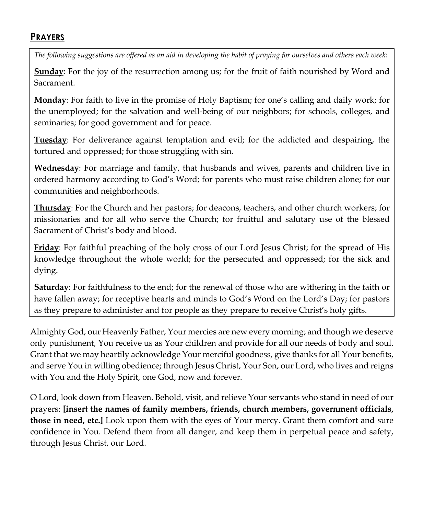### **PRAYERS**

*The following suggestions are offered as an aid in developing the habit of praying for ourselves and others each week:*

**Sunday**: For the joy of the resurrection among us; for the fruit of faith nourished by Word and Sacrament.

**Monday**: For faith to live in the promise of Holy Baptism; for one's calling and daily work; for the unemployed; for the salvation and well-being of our neighbors; for schools, colleges, and seminaries; for good government and for peace.

**Tuesday**: For deliverance against temptation and evil; for the addicted and despairing, the tortured and oppressed; for those struggling with sin.

**Wednesday**: For marriage and family, that husbands and wives, parents and children live in ordered harmony according to God's Word; for parents who must raise children alone; for our communities and neighborhoods.

**Thursday**: For the Church and her pastors; for deacons, teachers, and other church workers; for missionaries and for all who serve the Church; for fruitful and salutary use of the blessed Sacrament of Christ's body and blood.

**Friday**: For faithful preaching of the holy cross of our Lord Jesus Christ; for the spread of His knowledge throughout the whole world; for the persecuted and oppressed; for the sick and dying.

**Saturday**: For faithfulness to the end; for the renewal of those who are withering in the faith or have fallen away; for receptive hearts and minds to God's Word on the Lord's Day; for pastors as they prepare to administer and for people as they prepare to receive Christ's holy gifts.

Almighty God, our Heavenly Father, Your mercies are new every morning; and though we deserve only punishment, You receive us as Your children and provide for all our needs of body and soul. Grant that we may heartily acknowledge Your merciful goodness, give thanks for all Your benefits, and serve You in willing obedience; through Jesus Christ, Your Son, our Lord, who lives and reigns with You and the Holy Spirit, one God, now and forever.

O Lord, look down from Heaven. Behold, visit, and relieve Your servants who stand in need of our prayers: **[insert the names of family members, friends, church members, government officials, those in need, etc.]** Look upon them with the eyes of Your mercy. Grant them comfort and sure confidence in You. Defend them from all danger, and keep them in perpetual peace and safety, through Jesus Christ, our Lord.